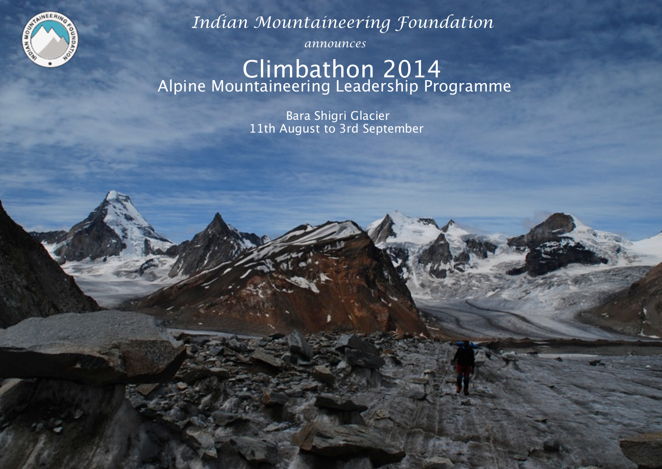

 *Indian Mountaineering Foundation*

 *announces*

# Climbathon 2014<br>Alpine Mountaineering Leadership Programme

**Para Shigri Glacier** 11th August to 3rd September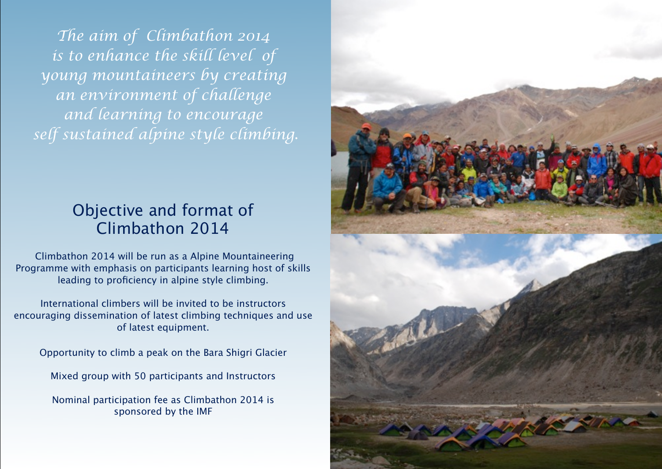*The aim of Climbathon 2014 is to enhance the skill level of young mountaineers by creating an environment of challenge and learning to encourage self sustained alpine style climbing.*

## Objective and format of Climbathon 2014

 Climbathon 2014 will be run as a Alpine Mountaineering Programme with emphasis on participants learning host of skills leading to proficiency in alpine style climbing.

International climbers will be invited to be instructors encouraging dissemination of latest climbing techniques and use of latest equipment.

Opportunity to climb a peak on the Bara Shigri Glacier

Mixed group with 50 participants and Instructors

Nominal participation fee as Climbathon 2014 is sponsored by the IMF

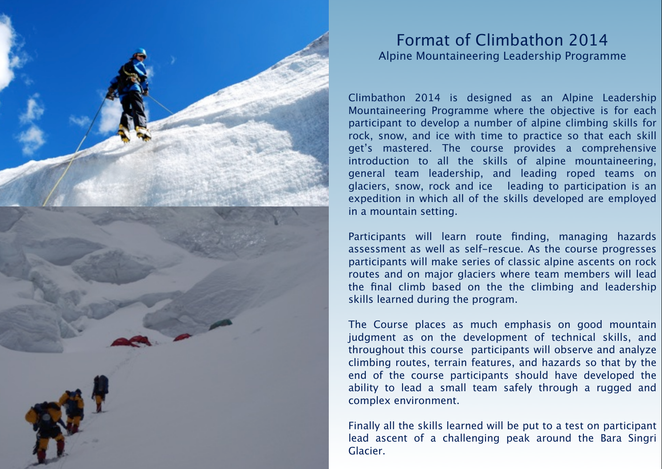

#### Format of Climbathon 2014 Alpine Mountaineering Leadership Programme

Climbathon 2014 is designed as an Alpine Leadership Mountaineering Programme where the objective is for each participant to develop a number of alpine climbing skills for rock, snow, and ice with time to practice so that each skill get's mastered. The course provides a comprehensive introduction to all the skills of alpine mountaineering, general team leadership, and leading roped teams on glaciers, snow, rock and ice leading to participation is an expedition in which all of the skills developed are employed in a mountain setting.

Participants will learn route finding, managing hazards assessment as well as self-rescue. As the course progresses participants will make series of classic alpine ascents on rock routes and on major glaciers where team members will lead the final climb based on the the climbing and leadership skills learned during the program.

The Course places as much emphasis on good mountain judgment as on the development of technical skills, and throughout this course participants will observe and analyze climbing routes, terrain features, and hazards so that by the end of the course participants should have developed the ability to lead a small team safely through a rugged and complex environment.

Finally all the skills learned will be put to a test on participant lead ascent of a challenging peak around the Bara Singri Glacier.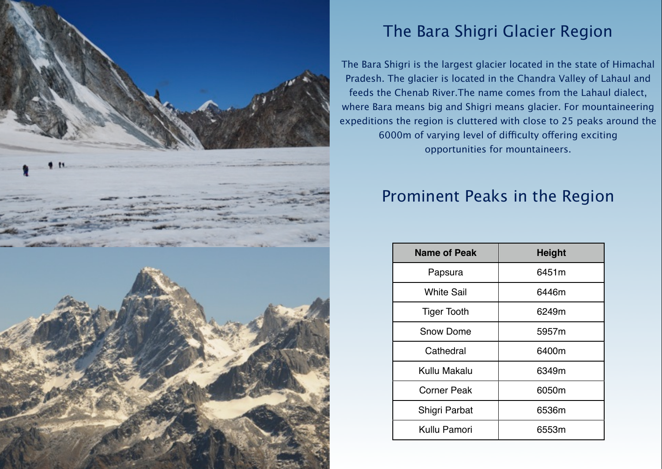

# The Bara Shigri Glacier Region

The Bara Shigri is the largest glacier located in the state of [Himachal](http://en.wikipedia.org/wiki/Himachal_Pradesh)  [Pradesh.](http://en.wikipedia.org/wiki/Himachal_Pradesh) The glacier is located in the [Chandra Valley](http://en.wikipedia.org/w/index.php?title=Chandra_Valley&action=edit&redlink=1) of [Lahaul](http://en.wikipedia.org/wiki/Lahaul) and feeds the [Chenab River.](http://en.wikipedia.org/wiki/Chenab_River)The name comes from the [Lahaul](http://en.wikipedia.org/wiki/Lahaul) dialect, where Bara means big and Shigri means glacier. For mountaineering expeditions the region is cluttered with close to 25 peaks around the 6000m of varying level of difficulty offering exciting opportunities for mountaineers.

# Prominent Peaks in the Region

| <b>Name of Peak</b> | <b>Height</b> |
|---------------------|---------------|
| Papsura             | 6451 m        |
| <b>White Sail</b>   | 6446m         |
| <b>Tiger Tooth</b>  | 6249m         |
| <b>Snow Dome</b>    | 5957m         |
| Cathedral           | 6400m         |
| Kullu Makalu        | 6349m         |
| <b>Corner Peak</b>  | 6050m         |
| Shigri Parbat       | 6536m         |
| Kullu Pamori        | 6553m         |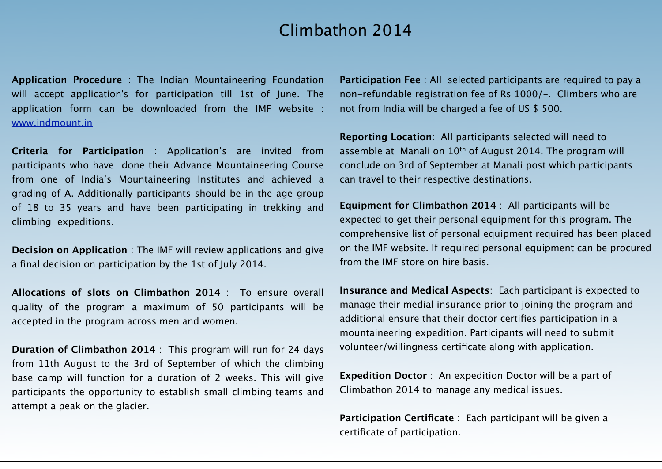## Climbathon 2014

**Application Procedure** : The Indian Mountaineering Foundation will accept application's for participation till 1st of June. The application form can be downloaded from the IMF website : [www.indmount.in](http://www.indmount.in)

**Criteria for Participation** : Application's are invited from participants who have done their Advance Mountaineering Course from one of India's Mountaineering Institutes and achieved a grading of A. Additionally participants should be in the age group of 18 to 35 years and have been participating in trekking and climbing expeditions.

**Decision on Application** : The IMF will review applications and give a final decision on participation by the 1st of July 2014.

**Allocations of slots on Climbathon 2014** : To ensure overall quality of the program a maximum of 50 participants will be accepted in the program across men and women.

**Duration of Climbathon 2014** : This program will run for 24 days from 11th August to the 3rd of September of which the climbing base camp will function for a duration of 2 weeks. This will give participants the opportunity to establish small climbing teams and attempt a peak on the glacier.

**Participation Fee** : All selected participants are required to pay a non-refundable registration fee of Rs 1000/-. Climbers who are not from India will be charged a fee of US \$ 500.

**Reporting Location**: All participants selected will need to assemble at Manali on 10<sup>th</sup> of August 2014. The program will conclude on 3rd of September at Manali post which participants can travel to their respective destinations.

**Equipment for Climbathon 2014** : All participants will be expected to get their personal equipment for this program. The comprehensive list of personal equipment required has been placed on the IMF website. If required personal equipment can be procured from the IMF store on hire basis.

**Insurance and Medical Aspects**: Each participant is expected to manage their medial insurance prior to joining the program and additional ensure that their doctor certifies participation in a mountaineering expedition. Participants will need to submit volunteer/willingness certificate along with application.

**Expedition Doctor** : An expedition Doctor will be a part of Climbathon 2014 to manage any medical issues.

**Participation Certificate** : Each participant will be given a certificate of participation.